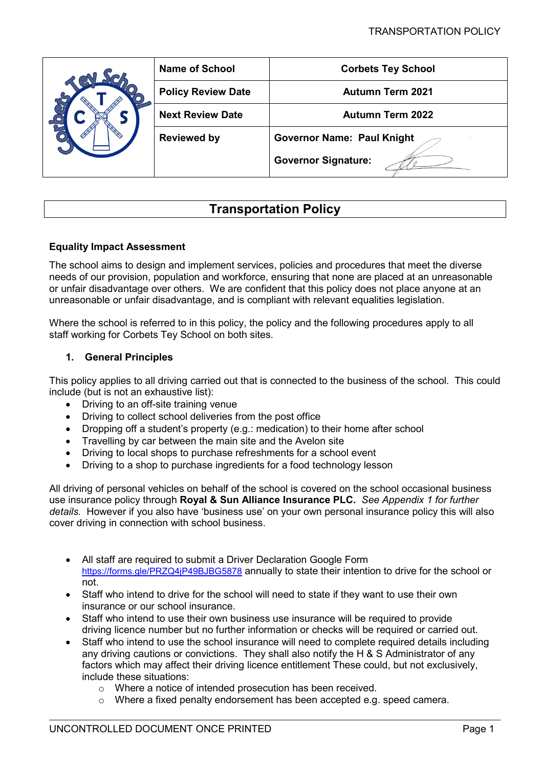|  | <b>Name of School</b>     | <b>Corbets Tey School</b>         |
|--|---------------------------|-----------------------------------|
|  | <b>Policy Review Date</b> | <b>Autumn Term 2021</b>           |
|  | <b>Next Review Date</b>   | <b>Autumn Term 2022</b>           |
|  | <b>Reviewed by</b>        | <b>Governor Name: Paul Knight</b> |
|  |                           | <b>Governor Signature:</b>        |

# **Transportation Policy**

# **Equality Impact Assessment**

The school aims to design and implement services, policies and procedures that meet the diverse needs of our provision, population and workforce, ensuring that none are placed at an unreasonable or unfair disadvantage over others. We are confident that this policy does not place anyone at an unreasonable or unfair disadvantage, and is compliant with relevant equalities legislation.

Where the school is referred to in this policy, the policy and the following procedures apply to all staff working for Corbets Tey School on both sites.

# **1. General Principles**

This policy applies to all driving carried out that is connected to the business of the school. This could include (but is not an exhaustive list):

- Driving to an off-site training venue
- Driving to collect school deliveries from the post office
- Dropping off a student's property (e.g.: medication) to their home after school
- Travelling by car between the main site and the Avelon site
- Driving to local shops to purchase refreshments for a school event
- Driving to a shop to purchase ingredients for a food technology lesson

All driving of personal vehicles on behalf of the school is covered on the school occasional business use insurance policy through **Royal & Sun Alliance Insurance PLC.** *See Appendix 1 for further details.*However if you also have 'business use' on your own personal insurance policy this will also cover driving in connection with school business.

- All staff are required to submit a Driver Declaration Google Form <https://forms.gle/PRZQ4jP49BJBG5878> annually to state their intention to drive for the school or not.
- Staff who intend to drive for the school will need to state if they want to use their own insurance or our school insurance.
- Staff who intend to use their own business use insurance will be required to provide driving licence number but no further information or checks will be required or carried out.
- Staff who intend to use the school insurance will need to complete required details including any driving cautions or convictions. They shall also notify the H & S Administrator of any factors which may affect their driving licence entitlement These could, but not exclusively, include these situations:
	- o Where a notice of intended prosecution has been received.
	- o Where a fixed penalty endorsement has been accepted e.g. speed camera.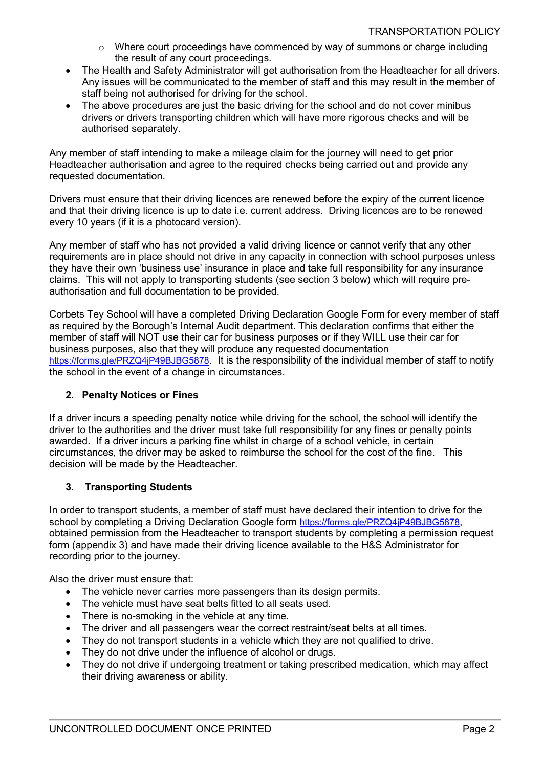- o Where court proceedings have commenced by way of summons or charge including the result of any court proceedings.
- The Health and Safety Administrator will get authorisation from the Headteacher for all drivers. Any issues will be communicated to the member of staff and this may result in the member of staff being not authorised for driving for the school.
- The above procedures are just the basic driving for the school and do not cover minibus drivers or drivers transporting children which will have more rigorous checks and will be authorised separately.

Any member of staff intending to make a mileage claim for the journey will need to get prior Headteacher authorisation and agree to the required checks being carried out and provide any requested documentation.

Drivers must ensure that their driving licences are renewed before the expiry of the current licence and that their driving licence is up to date i.e. current address. Driving licences are to be renewed every 10 years (if it is a photocard version).

Any member of staff who has not provided a valid driving licence or cannot verify that any other requirements are in place should not drive in any capacity in connection with school purposes unless they have their own 'business use' insurance in place and take full responsibility for any insurance claims. This will not apply to transporting students (see section 3 below) which will require preauthorisation and full documentation to be provided.

Corbets Tey School will have a completed Driving Declaration Google Form for every member of staff as required by the Borough's Internal Audit department. This declaration confirms that either the member of staff will NOT use their car for business purposes or if they WILL use their car for business purposes, also that they will produce any requested documentation [https://forms.gle/PRZQ4jP49BJBG5878.](https://forms.gle/PRZQ4jP49BJBG5878) It is the responsibility of the individual member of staff to notify the school in the event of a change in circumstances.

# **2. Penalty Notices or Fines**

If a driver incurs a speeding penalty notice while driving for the school, the school will identify the driver to the authorities and the driver must take full responsibility for any fines or penalty points awarded. If a driver incurs a parking fine whilst in charge of a school vehicle, in certain circumstances, the driver may be asked to reimburse the school for the cost of the fine. This decision will be made by the Headteacher.

# **3. Transporting Students**

In order to transport students, a member of staff must have declared their intention to drive for the school by completing a Driving Declaration Google form [https://forms.gle/PRZQ4jP49BJBG5878,](https://forms.gle/PRZQ4jP49BJBG5878) obtained permission from the Headteacher to transport students by completing a permission request form (appendix 3) and have made their driving licence available to the H&S Administrator for recording prior to the journey.

Also the driver must ensure that:

- The vehicle never carries more passengers than its design permits.
- The vehicle must have seat belts fitted to all seats used.
- There is no-smoking in the vehicle at any time.
- The driver and all passengers wear the correct restraint/seat belts at all times.
- They do not transport students in a vehicle which they are not qualified to drive.
- They do not drive under the influence of alcohol or drugs.
- They do not drive if undergoing treatment or taking prescribed medication, which may affect their driving awareness or ability.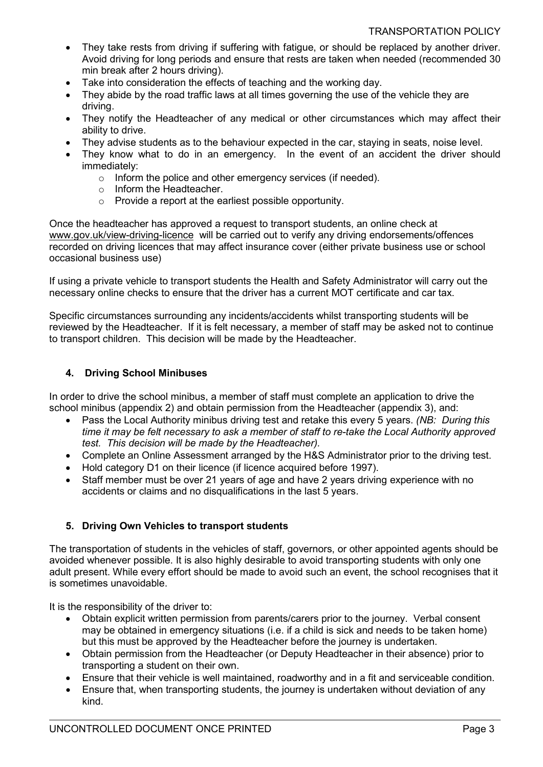- They take rests from driving if suffering with fatigue, or should be replaced by another driver. Avoid driving for long periods and ensure that rests are taken when needed (recommended 30 min break after 2 hours driving).
- Take into consideration the effects of teaching and the working day.
- They abide by the road traffic laws at all times governing the use of the vehicle they are driving.
- They notify the Headteacher of any medical or other circumstances which may affect their ability to drive.
- They advise students as to the behaviour expected in the car, staying in seats, noise level.
- They know what to do in an emergency. In the event of an accident the driver should immediately:
	- o Inform the police and other emergency services (if needed).
	- o Inform the Headteacher.
	- o Provide a report at the earliest possible opportunity.

Once the headteacher has approved a request to transport students, an online check at [www.gov.uk/view-driving-licence](http://www.gov.uk/view-driving-licence) will be carried out to verify any driving endorsements/offences recorded on driving licences that may affect insurance cover (either private business use or school occasional business use)

If using a private vehicle to transport students the Health and Safety Administrator will carry out the necessary online checks to ensure that the driver has a current MOT certificate and car tax.

Specific circumstances surrounding any incidents/accidents whilst transporting students will be reviewed by the Headteacher. If it is felt necessary, a member of staff may be asked not to continue to transport children. This decision will be made by the Headteacher.

# **4. Driving School Minibuses**

In order to drive the school minibus, a member of staff must complete an application to drive the school minibus (appendix 2) and obtain permission from the Headteacher (appendix 3), and:

- Pass the Local Authority minibus driving test and retake this every 5 years. *(NB: During this time it may be felt necessary to ask a member of staff to re-take the Local Authority approved test. This decision will be made by the Headteacher).*
- Complete an Online Assessment arranged by the H&S Administrator prior to the driving test.
- Hold category D1 on their licence (if licence acquired before 1997).
- Staff member must be over 21 years of age and have 2 years driving experience with no accidents or claims and no disqualifications in the last 5 years.

# **5. Driving Own Vehicles to transport students**

The transportation of students in the vehicles of staff, governors, or other appointed agents should be avoided whenever possible. It is also highly desirable to avoid transporting students with only one adult present. While every effort should be made to avoid such an event, the school recognises that it is sometimes unavoidable.

It is the responsibility of the driver to:

- Obtain explicit written permission from parents/carers prior to the journey. Verbal consent may be obtained in emergency situations (i.e. if a child is sick and needs to be taken home) but this must be approved by the Headteacher before the journey is undertaken.
- Obtain permission from the Headteacher (or Deputy Headteacher in their absence) prior to transporting a student on their own.
- Ensure that their vehicle is well maintained, roadworthy and in a fit and serviceable condition.
- Ensure that, when transporting students, the journey is undertaken without deviation of any kind.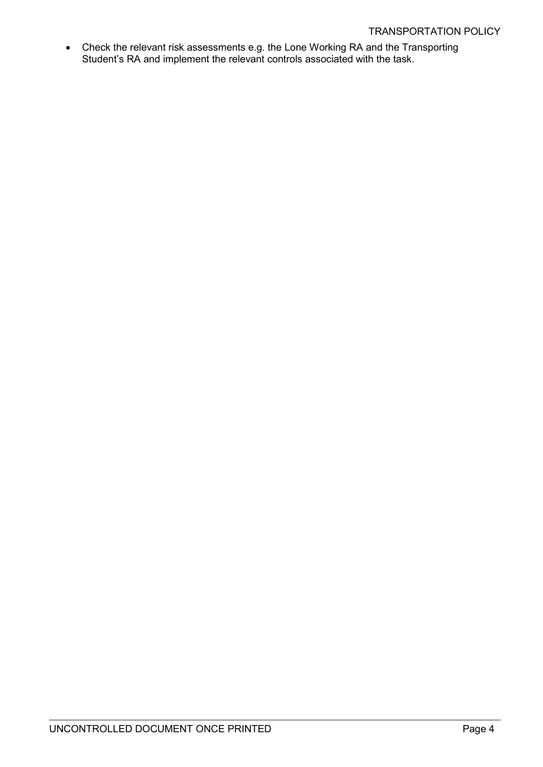• Check the relevant risk assessments e.g. the Lone Working RA and the Transporting Student's RA and implement the relevant controls associated with the task.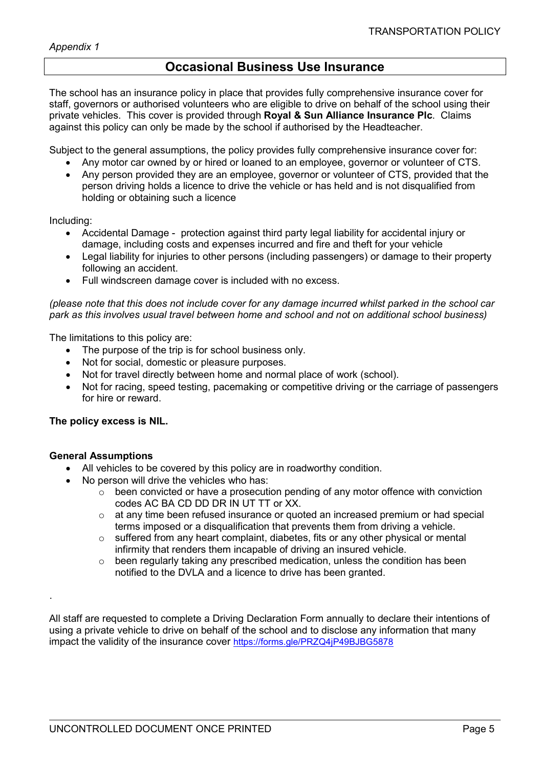# **Occasional Business Use Insurance**

The school has an insurance policy in place that provides fully comprehensive insurance cover for staff, governors or authorised volunteers who are eligible to drive on behalf of the school using their private vehicles. This cover is provided through **Royal & Sun Alliance Insurance Plc**. Claims against this policy can only be made by the school if authorised by the Headteacher.

Subject to the general assumptions, the policy provides fully comprehensive insurance cover for:

- Any motor car owned by or hired or loaned to an employee, governor or volunteer of CTS.
- Any person provided they are an employee, governor or volunteer of CTS, provided that the person driving holds a licence to drive the vehicle or has held and is not disqualified from holding or obtaining such a licence

Including:

- Accidental Damage protection against third party legal liability for accidental injury or damage, including costs and expenses incurred and fire and theft for your vehicle
- Legal liability for injuries to other persons (including passengers) or damage to their property following an accident.
- Full windscreen damage cover is included with no excess.

*(please note that this does not include cover for any damage incurred whilst parked in the school car park as this involves usual travel between home and school and not on additional school business)*

The limitations to this policy are:

- The purpose of the trip is for school business only.
- Not for social, domestic or pleasure purposes.
- Not for travel directly between home and normal place of work (school).
- Not for racing, speed testing, pacemaking or competitive driving or the carriage of passengers for hire or reward.

#### **The policy excess is NIL.**

#### **General Assumptions**

.

- All vehicles to be covered by this policy are in roadworthy condition.
- No person will drive the vehicles who has:
	- o been convicted or have a prosecution pending of any motor offence with conviction codes AC BA CD DD DR IN UT TT or XX.
	- o at any time been refused insurance or quoted an increased premium or had special terms imposed or a disqualification that prevents them from driving a vehicle.
	- o suffered from any heart complaint, diabetes, fits or any other physical or mental infirmity that renders them incapable of driving an insured vehicle.
	- o been regularly taking any prescribed medication, unless the condition has been notified to the DVLA and a licence to drive has been granted.

All staff are requested to complete a Driving Declaration Form annually to declare their intentions of using a private vehicle to drive on behalf of the school and to disclose any information that many impact the validity of the insurance cover <https://forms.gle/PRZQ4jP49BJBG5878>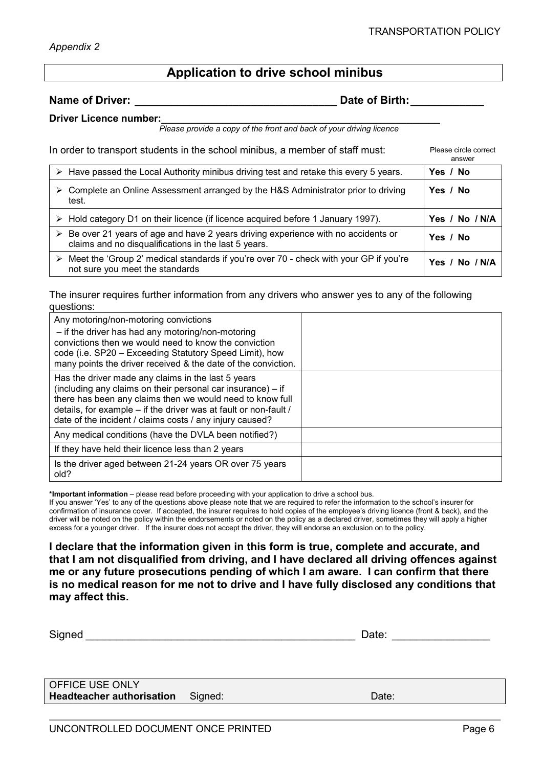# **Application to drive school minibus**

**Name of Driver: \_\_\_\_\_\_\_\_\_\_\_\_\_\_\_\_\_\_\_\_\_\_\_\_\_\_\_\_\_\_\_\_\_ Date of Birth:\_\_\_\_\_\_\_\_\_\_\_\_**

**Driver Licence number:** 

 *Please provide a copy of the front and back of your driving licence*

In order to transport students in the school minibus, a member of staff must: Please circle correct

answer

| $\triangleright$ Have passed the Local Authority minibus driving test and retake this every 5 years.                                                      | Yes / No       |
|-----------------------------------------------------------------------------------------------------------------------------------------------------------|----------------|
| $\triangleright$ Complete an Online Assessment arranged by the H&S Administrator prior to driving<br>test.                                                | Yes / No       |
| > Hold category D1 on their licence (if licence acquired before 1 January 1997).                                                                          | Yes / No / N/A |
| $\triangleright$ Be over 21 years of age and have 2 years driving experience with no accidents or<br>claims and no disqualifications in the last 5 years. | Yes / No       |
| $\triangleright$ Meet the 'Group 2' medical standards if you're over 70 - check with your GP if you're<br>not sure you meet the standards                 | Yes / No / N/A |

The insurer requires further information from any drivers who answer yes to any of the following questions:

| Any motoring/non-motoring convictions<br>- if the driver has had any motoring/non-motoring<br>convictions then we would need to know the conviction<br>code (i.e. SP20 – Exceeding Statutory Speed Limit), how<br>many points the driver received & the date of the conviction.                                |  |
|----------------------------------------------------------------------------------------------------------------------------------------------------------------------------------------------------------------------------------------------------------------------------------------------------------------|--|
| Has the driver made any claims in the last 5 years<br>(including any claims on their personal car insurance) - if<br>there has been any claims then we would need to know full<br>details, for example - if the driver was at fault or non-fault /<br>date of the incident / claims costs / any injury caused? |  |
| Any medical conditions (have the DVLA been notified?)                                                                                                                                                                                                                                                          |  |
| If they have held their licence less than 2 years                                                                                                                                                                                                                                                              |  |
| Is the driver aged between 21-24 years OR over 75 years<br>old?                                                                                                                                                                                                                                                |  |

**\*Important information** – please read before proceeding with your application to drive a school bus.

If you answer 'Yes' to any of the questions above please note that we are required to refer the information to the school's insurer for confirmation of insurance cover. If accepted, the insurer requires to hold copies of the employee's driving licence (front & back), and the driver will be noted on the policy within the endorsements or noted on the policy as a declared driver, sometimes they will apply a higher excess for a younger driver. If the insurer does not accept the driver, they will endorse an exclusion on to the policy.

**I declare that the information given in this form is true, complete and accurate, and that I am not disqualified from driving, and I have declared all driving offences against me or any future prosecutions pending of which I am aware. I can confirm that there is no medical reason for me not to drive and I have fully disclosed any conditions that may affect this.** 

Signed **Example 2** and the set of the set of the set of the set of the set of the set of the set of the set of the set of the set of the set of the set of the set of the set of the set of the set of the set of the set of t OFFICE USE ONLY

**Headteacher authorisation** Signed: **Date:** Date: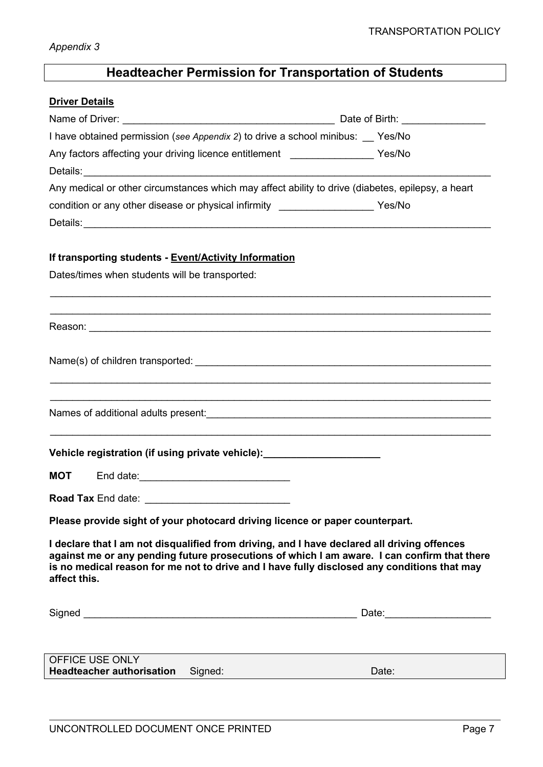# **Headteacher Permission for Transportation of Students**

# **Driver Details**

|                                                                                                                                                                                                                                                                                                           | Date of Birth: _________________ |  |
|-----------------------------------------------------------------------------------------------------------------------------------------------------------------------------------------------------------------------------------------------------------------------------------------------------------|----------------------------------|--|
| I have obtained permission (see Appendix 2) to drive a school minibus: Yes/No                                                                                                                                                                                                                             |                                  |  |
| Any factors affecting your driving licence entitlement __________________ Yes/No                                                                                                                                                                                                                          |                                  |  |
|                                                                                                                                                                                                                                                                                                           |                                  |  |
| Any medical or other circumstances which may affect ability to drive (diabetes, epilepsy, a heart                                                                                                                                                                                                         |                                  |  |
| condition or any other disease or physical infirmity ____________________ Yes/No                                                                                                                                                                                                                          |                                  |  |
|                                                                                                                                                                                                                                                                                                           |                                  |  |
| If transporting students - Event/Activity Information                                                                                                                                                                                                                                                     |                                  |  |
| Dates/times when students will be transported:                                                                                                                                                                                                                                                            |                                  |  |
|                                                                                                                                                                                                                                                                                                           |                                  |  |
|                                                                                                                                                                                                                                                                                                           |                                  |  |
|                                                                                                                                                                                                                                                                                                           |                                  |  |
|                                                                                                                                                                                                                                                                                                           |                                  |  |
|                                                                                                                                                                                                                                                                                                           |                                  |  |
| <u> 1989 - Johann Barbara, marka a shekara tsa na shekara tsa na shekara tsa na shekara tsa na shekara tsa na sh</u>                                                                                                                                                                                      |                                  |  |
|                                                                                                                                                                                                                                                                                                           |                                  |  |
| ,我们也不能在这里的时候,我们也不能在这里的时候,我们也不能会在这里的时候,我们也不能会在这里的时候,我们也不能会在这里的时候,我们也不能会在这里的时候,我们也不                                                                                                                                                                                                                         |                                  |  |
| Vehicle registration (if using private vehicle): _________________________                                                                                                                                                                                                                                |                                  |  |
| <b>MOT</b> End date: <u>____________________________</u>                                                                                                                                                                                                                                                  |                                  |  |
|                                                                                                                                                                                                                                                                                                           |                                  |  |
| Please provide sight of your photocard driving licence or paper counterpart.                                                                                                                                                                                                                              |                                  |  |
| I declare that I am not disqualified from driving, and I have declared all driving offences<br>against me or any pending future prosecutions of which I am aware. I can confirm that there<br>is no medical reason for me not to drive and I have fully disclosed any conditions that may<br>affect this. |                                  |  |
|                                                                                                                                                                                                                                                                                                           | Date: _________________________  |  |
|                                                                                                                                                                                                                                                                                                           |                                  |  |
| OFFICE USE ONLY<br><b>Headteacher authorisation</b><br>Signed:                                                                                                                                                                                                                                            | Date:                            |  |